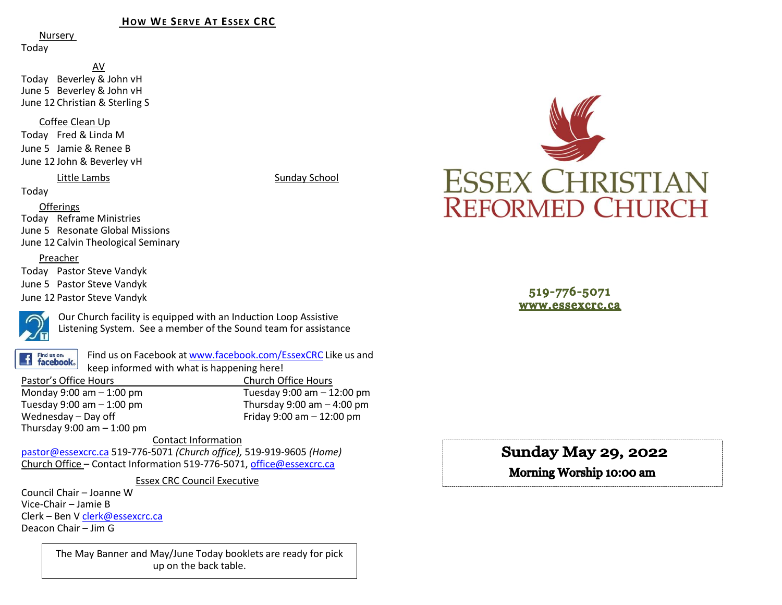#### **HOW WE SERVE AT ESSEX CRC**

Nursery

Today

AV Today Beverley & John vH June 5 Beverley & John vH June 12 Christian & Sterling S

Coffee Clean Up

Today Fred & Linda M June 5 Jamie & Renee B June 12 John & Beverley vH

#### Little Lambs Sunday School

Today

Offerings

Today Reframe Ministries June 5 Resonate Global Missions June 12 Calvin Theological Seminary

#### Preacher

Today Pastor Steve Vandyk June 5 Pastor Steve Vandyk June 12 Pastor Steve Vandyk



Our Church facility is equipped with an Induction Loop Assistive Listening System. See a member of the Sound team for assistance

Find us on: **facebook**. Find us on Facebook a[t www.facebook.com/EssexCRC](http://www.facebook.com/EssexCRC) Like us and keep informed with what is happening here!

Pastor's Office Hours Church Office Hours Monday 9:00 am – 1:00 pm Tuesday 9:00 am – 12:00 pm Thursday 9:00 am  $-$  4:00 pm Wednesday – Day off  $V = 12:00 \text{ pm}$ Thursday  $9:00$  am  $-1:00$  pm

Contact Information [pastor@essexcrc.ca](mailto:pastor@essexcrc.ca) 519-776-5071 *(Church office),* 519-919-9605 *(Home)* Church Office – Contact Information 519-776-5071[, office@essexcrc.ca](mailto:office@essexcrc.ca)

Essex CRC Council Executive

Council Chair – Joanne W Vice-Chair – Jamie B Clerk – Ben V [clerk@essexcrc.ca](mailto:clerk@essexcrc.ca) Deacon Chair – Jim G

> The May Banner and May/June Today booklets are ready for pick up on the back table.



519-776-5071 www.essexcrc.ca

# **Sunday May 29, 2022**

Morning Worship 10:00 am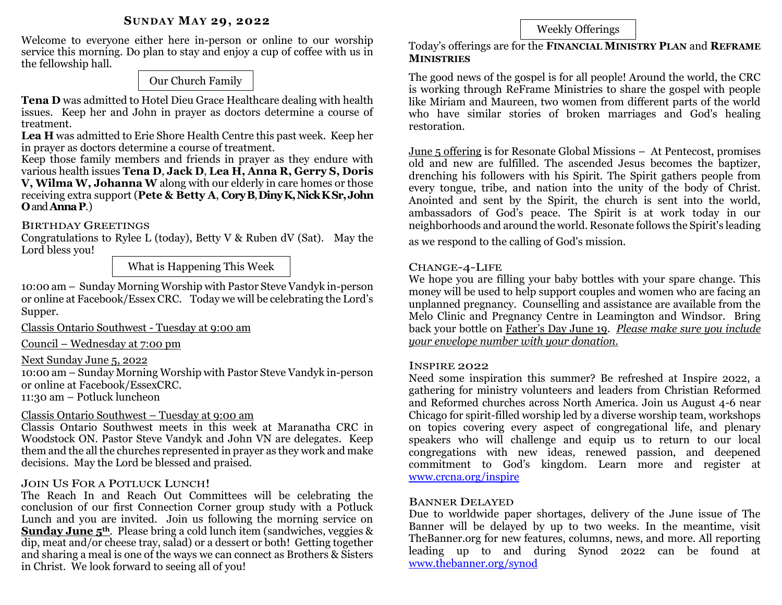### **SUNDAY MAY 29, 2022**

Welcome to everyone either here in-person or online to our worship service this morning. Do plan to stay and enjoy a cup of coffee with us in the fellowship hall.

# Our Church Family

**Tena D** was admitted to Hotel Dieu Grace Healthcare dealing with health issues. Keep her and John in prayer as doctors determine a course of treatment.

**Lea H** was admitted to Erie Shore Health Centre this past week. Keep her in prayer as doctors determine a course of treatment.

Keep those family members and friends in prayer as they endure with various health issues **Tena D**, **Jack D**, **Lea H, Anna R, Gerry S, Doris V, Wilma W, Johanna W** along with our elderly in care homes or those receiving extra support (**Pete & Betty A**, **CoryB**, **DinyK, Nick KSr,John O**and **AnnaP**.)

# BIRTHDAY GREETINGS

Congratulations to Rylee L (today), Betty V & Ruben dV (Sat). May the Lord bless you!

What is Happening This Week

10:00 am – Sunday Morning Worship with Pastor Steve Vandyk in-person or online at Facebook/Essex CRC. Today we will be celebrating the Lord's Supper.

Classis Ontario Southwest - Tuesday at 9:00 am

Council – Wednesday at 7:00 pm

# Next Sunday June 5, 2022

10:00 am – Sunday Morning Worship with Pastor Steve Vandyk in-person or online at Facebook/EssexCRC.

11:30 am – Potluck luncheon

# Classis Ontario Southwest – Tuesday at 9:00 am

Classis Ontario Southwest meets in this week at Maranatha CRC in Woodstock ON. Pastor Steve Vandyk and John VN are delegates. Keep them and the all the churches represented in prayer as they work and make decisions. May the Lord be blessed and praised.

# JOIN US FOR A POTLUCK LUNCH!

The Reach In and Reach Out Committees will be celebrating the conclusion of our first Connection Corner group study with a Potluck Lunch and you are invited. Join us following the morning service on **Sunday June 5th**. Please bring a cold lunch item (sandwiches, veggies & dip, meat and/or cheese tray, salad) or a dessert or both! Getting together and sharing a meal is one of the ways we can connect as Brothers & Sisters in Christ. We look forward to seeing all of you!

# Weekly Offerings

Today's offerings are for the **FINANCIAL MINISTRY PLAN** and **REFRAME MINISTRIES** 

The good news of the gospel is for all people! Around the world, the CRC is working through ReFrame Ministries to share the gospel with people like Miriam and Maureen, two women from different parts of the world who have similar stories of broken marriages and God's healing restoration.

June 5 offering is for Resonate Global Missions – At Pentecost, promises old and new are fulfilled. The ascended Jesus becomes the baptizer, drenching his followers with his Spirit. The Spirit gathers people from every tongue, tribe, and nation into the unity of the body of Christ. Anointed and sent by the Spirit, the church is sent into the world, ambassadors of God's peace. The Spirit is at work today in our neighborhoods and around the world. Resonate follows the Spirit's leading

as we respond to the calling of God's mission.

## CHANGE-4-LIFE

We hope you are filling your baby bottles with your spare change. This money will be used to help support couples and women who are facing an unplanned pregnancy. Counselling and assistance are available from the Melo Clinic and Pregnancy Centre in Leamington and Windsor. Bring back your bottle on Father's Day June 19. *Please make sure you include your envelope number with your donation.*

#### INSPIRE 2022

Need some inspiration this summer? Be refreshed at Inspire 2022, a gathering for ministry volunteers and leaders from Christian Reformed and Reformed churches across North America. Join us August 4-6 near Chicago for spirit-filled worship led by a diverse worship team, workshops on topics covering every aspect of congregational life, and plenary speakers who will challenge and equip us to return to our local congregations with new ideas, renewed passion, and deepened commitment to God's kingdom. Learn more and register at [www.crcna.org/inspire](http://www.crcna.org/inspire)

## BANNER DELAYED

Due to worldwide paper shortages, delivery of the June issue of The Banner will be delayed by up to two weeks. In the meantime, visit TheBanner.org for new features, columns, news, and more. All reporting leading up to and during Synod 2022 can be found at [www.thebanner.org/synod](http://www.thebanner.org/synod)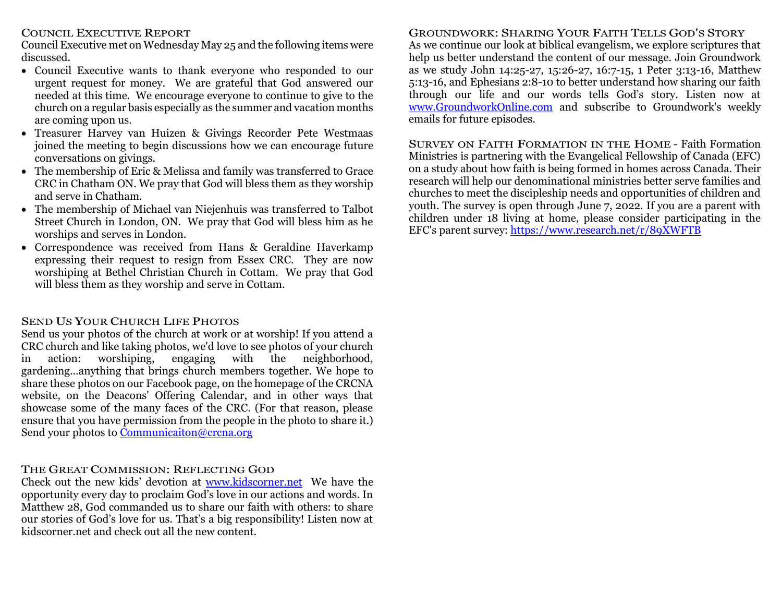## COUNCIL EXECUTIVE REPORT

Council Executive met on Wednesday May 25 and the following items were discussed.

- Council Executive wants to thank everyone who responded to our urgent request for money. We are grateful that God answered our needed at this time. We encourage everyone to continue to give to the church on a regular basis especially as the summer and vacation months are coming upon us.
- Treasurer Harvey van Huizen & Givings Recorder Pete Westmaas joined the meeting to begin discussions how we can encourage future conversations on givings.
- The membership of Eric & Melissa and family was transferred to Grace CRC in Chatham ON. We pray that God will bless them as they worship and serve in Chatham.
- The membership of Michael van Niejenhuis was transferred to Talbot Street Church in London, ON. We pray that God will bless him as he worships and serves in London.
- Correspondence was received from Hans & Geraldine Haverkamp expressing their request to resign from Essex CRC. They are now worshiping at Bethel Christian Church in Cottam. We pray that God will bless them as they worship and serve in Cottam.

# SEND US YOUR CHURCH LIFE PHOTOS

Send us your photos of the church at work or at worship! If you attend a CRC church and like taking photos, we'd love to see photos of your church in action: worshiping, engaging with the neighborhood, gardening...anything that brings church members together. We hope to share these photos on our Facebook page, on the homepage of the CRCNA website, on the Deacons' Offering Calendar, and in other ways that showcase some of the many faces of the CRC. (For that reason, please ensure that you have permission from the people in the photo to share it.) Send your photos to [Communicaiton@crcna.org](mailto:Communicaiton@crcna.org)

# THE GREAT COMMISSION: REFLECTING GOD

Check out the new kids' devotion at [www.kidscorner.net](http://www.kidscorner.net/) We have the opportunity every day to proclaim God's love in our actions and words. In Matthew 28, God commanded us to share our faith with others: to share our stories of God's love for us. That's a big responsibility! Listen now at kidscorner.net and check out all the new content.

# GROUNDWORK: SHARING YOUR FAITH TELLS GOD'S STORY

As we continue our look at biblical evangelism, we explore scriptures that help us better understand the content of our message. Join Groundwork as we study John 14:25-27, 15:26-27, 16:7-15, 1 Peter 3:13-16, Matthew 5:13-16, and Ephesians 2:8-10 to better understand how sharing our faith through our life and our words tells God's story. Listen now at [www.GroundworkOnline.com](http://www.groundworkonline.com/) and subscribe to Groundwork's weekly emails for future episodes.

SURVEY ON FAITH FORMATION IN THE HOME - Faith Formation Ministries is partnering with the Evangelical Fellowship of Canada (EFC) on a study about how faith is being formed in homes across Canada. Their research will help our denominational ministries better serve families and churches to meet the discipleship needs and opportunities of children and youth. The survey is open through June 7, 2022. If you are a parent with children under 18 living at home, please consider participating in the EFC's parent survey:<https://www.research.net/r/89XWFTB>